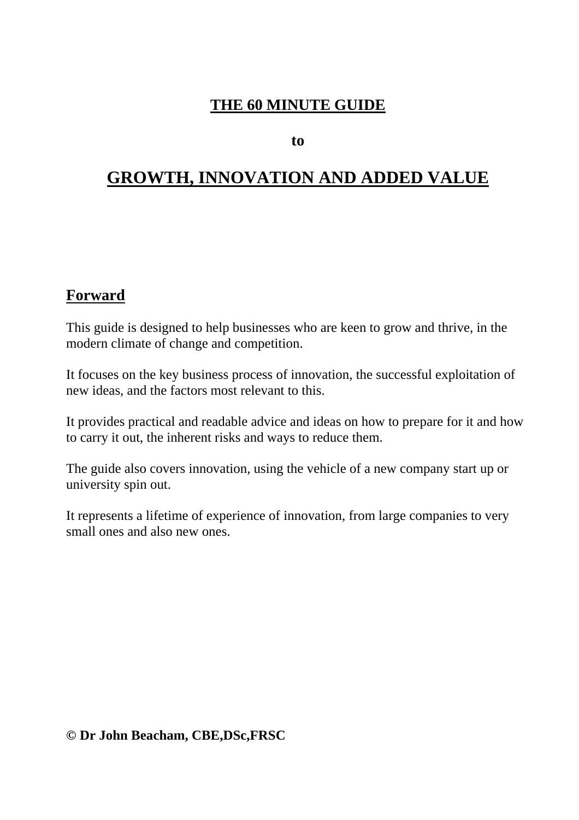# **THE 60 MINUTE GUIDE**

**to** 

# **GROWTH, INNOVATION AND ADDED VALUE**

## **Forward**

This guide is designed to help businesses who are keen to grow and thrive, in the modern climate of change and competition.

It focuses on the key business process of innovation, the successful exploitation of new ideas, and the factors most relevant to this.

It provides practical and readable advice and ideas on how to prepare for it and how to carry it out, the inherent risks and ways to reduce them.

The guide also covers innovation, using the vehicle of a new company start up or university spin out.

It represents a lifetime of experience of innovation, from large companies to very small ones and also new ones.

**© Dr John Beacham, CBE,DSc,FRSC**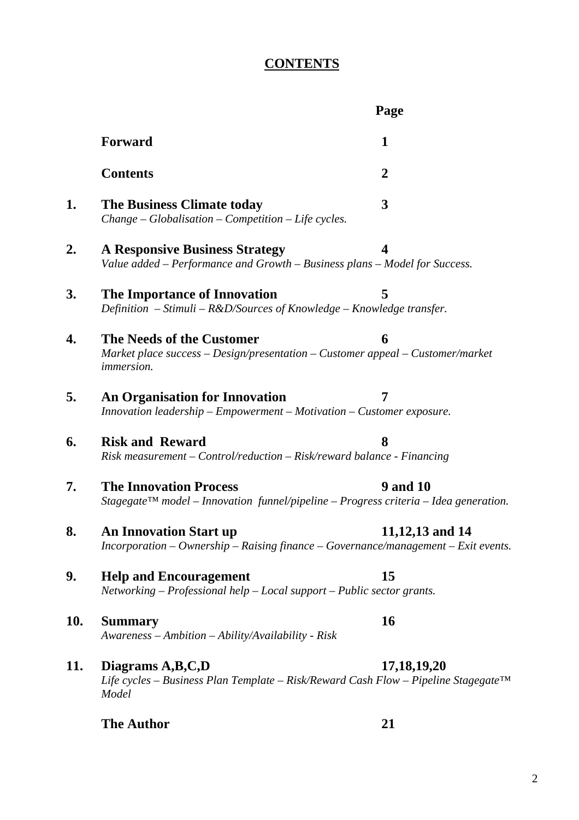# **CONTENTS**

|     |                                                                                                                                    | Page                    |  |
|-----|------------------------------------------------------------------------------------------------------------------------------------|-------------------------|--|
|     | <b>Forward</b>                                                                                                                     | 1                       |  |
|     | <b>Contents</b>                                                                                                                    | $\overline{2}$          |  |
| 1.  | <b>The Business Climate today</b><br>$Change-Globalisation-Competition-Life cycles.$                                               | 3                       |  |
| 2.  | <b>A Responsive Business Strategy</b><br>Value added - Performance and Growth - Business plans - Model for Success.                | $\overline{\mathbf{4}}$ |  |
| 3.  | The Importance of Innovation<br>Definition - Stimuli - $R&D/Sources$ of Knowledge - Knowledge transfer.                            | 5                       |  |
| 4.  | The Needs of the Customer<br>Market place success - Design/presentation - Customer appeal - Customer/market<br><i>immersion.</i>   | 6                       |  |
| 5.  | <b>An Organisation for Innovation</b><br>$In novation\, leading-Empowerment-Motivation-Customer\,exposure.$                        | 7                       |  |
| 6.  | <b>Risk and Reward</b><br>Risk measurement – Control/reduction – Risk/reward balance - Financing                                   | 8                       |  |
| 7.  | <b>The Innovation Process</b><br>Stagegate <sup>TM</sup> model – Innovation funnel/pipeline – Progress criteria – Idea generation. | <b>9 and 10</b>         |  |
| 8.  | <b>An Innovation Start up</b><br>$Incorportion - Ownership - Raising finance - Governance/management - Exit events.$               | 11,12,13 and 14         |  |
| 9.  | <b>Help and Encouragement</b><br>Networking $-$ Professional help $-$ Local support $-$ Public sector grants.                      | 15                      |  |
| 10. | <b>Summary</b><br>Awareness - Ambition - Ability/Availability - Risk                                                               | 16                      |  |
| 11. | Diagrams A,B,C,D<br>Life cycles – Business Plan Template – Risk/Reward Cash Flow – Pipeline Stagegate™<br>Model                    | 17, 18, 19, 20          |  |
|     | <b>The Author</b>                                                                                                                  | 21                      |  |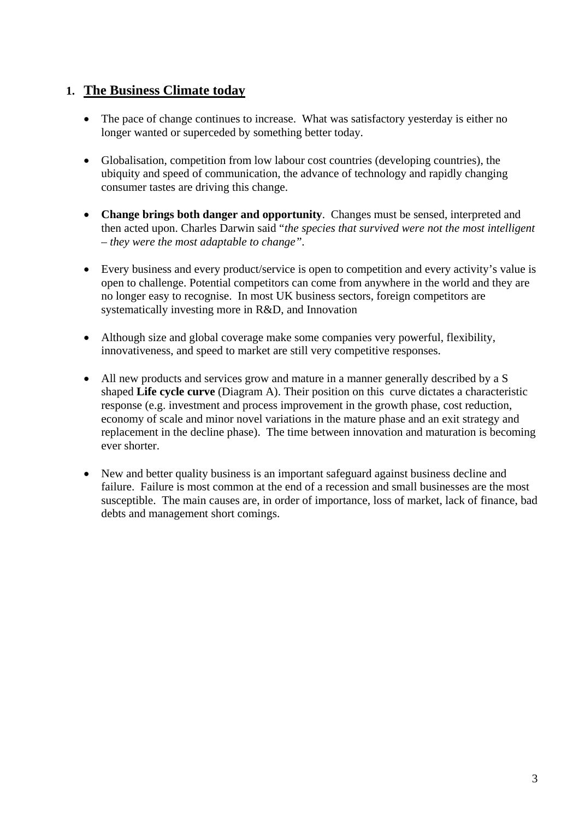#### **1. The Business Climate today**

- The pace of change continues to increase. What was satisfactory yesterday is either no longer wanted or superceded by something better today.
- Globalisation, competition from low labour cost countries (developing countries), the ubiquity and speed of communication, the advance of technology and rapidly changing consumer tastes are driving this change.
- **Change brings both danger and opportunity**. Changes must be sensed, interpreted and then acted upon. Charles Darwin said "*the species that survived were not the most intelligent – they were the most adaptable to change".*
- Every business and every product/service is open to competition and every activity's value is open to challenge. Potential competitors can come from anywhere in the world and they are no longer easy to recognise. In most UK business sectors, foreign competitors are systematically investing more in R&D, and Innovation
- Although size and global coverage make some companies very powerful, flexibility, innovativeness, and speed to market are still very competitive responses.
- All new products and services grow and mature in a manner generally described by a S shaped **Life cycle curve** (Diagram A). Their position on this curve dictates a characteristic response (e.g. investment and process improvement in the growth phase, cost reduction, economy of scale and minor novel variations in the mature phase and an exit strategy and replacement in the decline phase). The time between innovation and maturation is becoming ever shorter.
- New and better quality business is an important safeguard against business decline and failure. Failure is most common at the end of a recession and small businesses are the most susceptible. The main causes are, in order of importance, loss of market, lack of finance, bad debts and management short comings.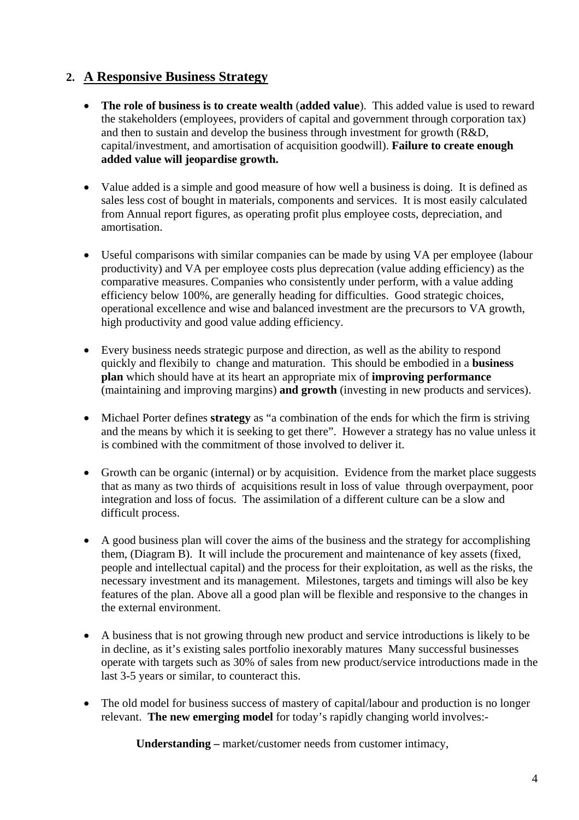#### **2. A Responsive Business Strategy**

- **The role of business is to create wealth** (**added value**). This added value is used to reward the stakeholders (employees, providers of capital and government through corporation tax) and then to sustain and develop the business through investment for growth (R&D, capital/investment, and amortisation of acquisition goodwill). **Failure to create enough added value will jeopardise growth.**
- Value added is a simple and good measure of how well a business is doing. It is defined as sales less cost of bought in materials, components and services. It is most easily calculated from Annual report figures, as operating profit plus employee costs, depreciation, and amortisation.
- Useful comparisons with similar companies can be made by using VA per employee (labour productivity) and VA per employee costs plus deprecation (value adding efficiency) as the comparative measures. Companies who consistently under perform, with a value adding efficiency below 100%, are generally heading for difficulties. Good strategic choices, operational excellence and wise and balanced investment are the precursors to VA growth, high productivity and good value adding efficiency.
- Every business needs strategic purpose and direction, as well as the ability to respond quickly and flexibily to change and maturation. This should be embodied in a **business plan** which should have at its heart an appropriate mix of **improving performance** (maintaining and improving margins) **and growth** (investing in new products and services).
- Michael Porter defines **strategy** as "a combination of the ends for which the firm is striving and the means by which it is seeking to get there". However a strategy has no value unless it is combined with the commitment of those involved to deliver it.
- Growth can be organic (internal) or by acquisition. Evidence from the market place suggests that as many as two thirds of acquisitions result in loss of value through overpayment, poor integration and loss of focus. The assimilation of a different culture can be a slow and difficult process.
- A good business plan will cover the aims of the business and the strategy for accomplishing them, (Diagram B). It will include the procurement and maintenance of key assets (fixed, people and intellectual capital) and the process for their exploitation, as well as the risks, the necessary investment and its management. Milestones, targets and timings will also be key features of the plan. Above all a good plan will be flexible and responsive to the changes in the external environment.
- A business that is not growing through new product and service introductions is likely to be in decline, as it's existing sales portfolio inexorably matures Many successful businesses operate with targets such as 30% of sales from new product/service introductions made in the last 3-5 years or similar, to counteract this.
- The old model for business success of mastery of capital/labour and production is no longer relevant. **The new emerging model** for today's rapidly changing world involves:-

**Understanding –** market/customer needs from customer intimacy,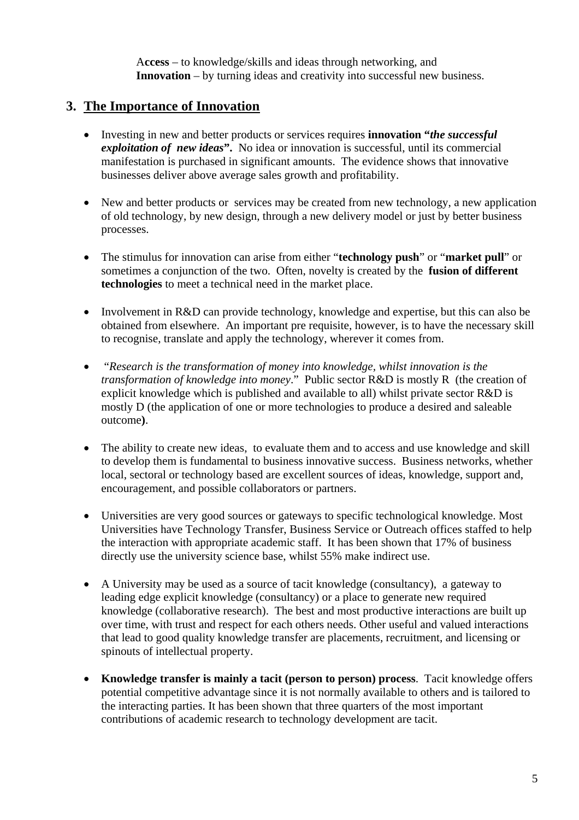A**ccess** – to knowledge/skills and ideas through networking, and **Innovation** – by turning ideas and creativity into successful new business.

#### **3. The Importance of Innovation**

- Investing in new and better products or services requires **innovation "***the successful exploitation of new ideas***".** No idea or innovation is successful, until its commercial manifestation is purchased in significant amounts. The evidence shows that innovative businesses deliver above average sales growth and profitability.
- New and better products or services may be created from new technology, a new application of old technology, by new design, through a new delivery model or just by better business processes.
- The stimulus for innovation can arise from either "**technology push**" or "**market pull**" or sometimes a conjunction of the two. Often, novelty is created by the **fusion of different technologies** to meet a technical need in the market place.
- Involvement in R&D can provide technology, knowledge and expertise, but this can also be obtained from elsewhere. An important pre requisite, however, is to have the necessary skill to recognise, translate and apply the technology, wherever it comes from.
- "*Research is the transformation of money into knowledge, whilst innovation is the transformation of knowledge into money*." Public sector R&D is mostly R (the creation of explicit knowledge which is published and available to all) whilst private sector R&D is mostly D (the application of one or more technologies to produce a desired and saleable outcome**)**.
- The ability to create new ideas, to evaluate them and to access and use knowledge and skill to develop them is fundamental to business innovative success. Business networks, whether local, sectoral or technology based are excellent sources of ideas, knowledge, support and, encouragement, and possible collaborators or partners.
- Universities are very good sources or gateways to specific technological knowledge. Most Universities have Technology Transfer, Business Service or Outreach offices staffed to help the interaction with appropriate academic staff. It has been shown that 17% of business directly use the university science base, whilst 55% make indirect use.
- A University may be used as a source of tacit knowledge (consultancy), a gateway to leading edge explicit knowledge (consultancy) or a place to generate new required knowledge (collaborative research). The best and most productive interactions are built up over time, with trust and respect for each others needs. Other useful and valued interactions that lead to good quality knowledge transfer are placements, recruitment, and licensing or spinouts of intellectual property.
- **Knowledge transfer is mainly a tacit (person to person) process**. Tacit knowledge offers potential competitive advantage since it is not normally available to others and is tailored to the interacting parties. It has been shown that three quarters of the most important contributions of academic research to technology development are tacit.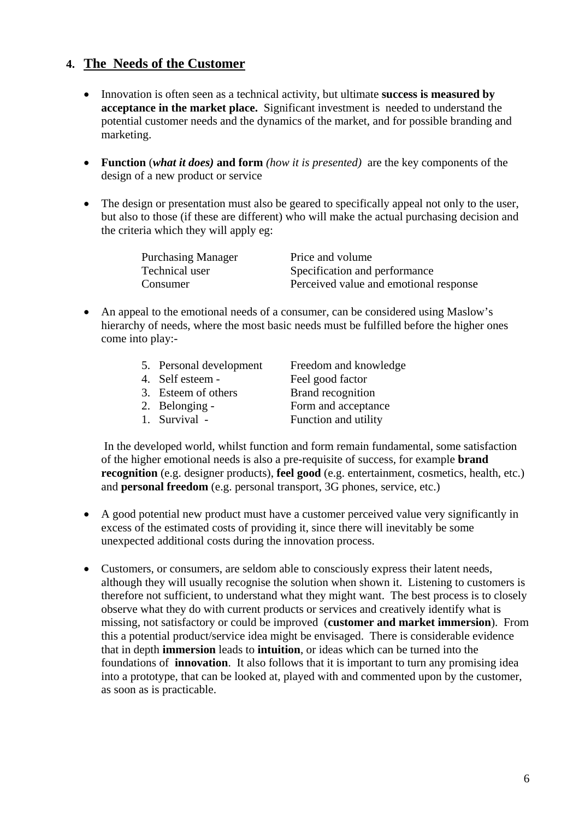#### **4. The Needs of the Customer**

- Innovation is often seen as a technical activity, but ultimate **success is measured by acceptance in the market place.** Significant investment is needed to understand the potential customer needs and the dynamics of the market, and for possible branding and marketing.
- **Function** (*what it does)* **and form** *(how it is presented)*are the key components of the design of a new product or service
- The design or presentation must also be geared to specifically appeal not only to the user, but also to those (if these are different) who will make the actual purchasing decision and the criteria which they will apply eg:

| <b>Purchasing Manager</b> | Price and volume                       |
|---------------------------|----------------------------------------|
| Technical user            | Specification and performance          |
| Consumer                  | Perceived value and emotional response |

• An appeal to the emotional needs of a consumer, can be considered using Maslow's hierarchy of needs, where the most basic needs must be fulfilled before the higher ones come into play:-

| 5. Personal development | Freedom and knowledge |
|-------------------------|-----------------------|
| 4. Self esteem -        | Feel good factor      |
| 3. Esteem of others     | Brand recognition     |
| 2. Belonging -          | Form and acceptance   |
| 1. Survival -           | Function and utility  |

 In the developed world, whilst function and form remain fundamental, some satisfaction of the higher emotional needs is also a pre-requisite of success, for example **brand recognition** (e.g. designer products), **feel good** (e.g. entertainment, cosmetics, health, etc.) and **personal freedom** (e.g. personal transport, 3G phones, service, etc.)

- A good potential new product must have a customer perceived value very significantly in excess of the estimated costs of providing it, since there will inevitably be some unexpected additional costs during the innovation process.
- Customers, or consumers, are seldom able to consciously express their latent needs, although they will usually recognise the solution when shown it. Listening to customers is therefore not sufficient, to understand what they might want. The best process is to closely observe what they do with current products or services and creatively identify what is missing, not satisfactory or could be improved (**customer and market immersion**). From this a potential product/service idea might be envisaged. There is considerable evidence that in depth **immersion** leads to **intuition**, or ideas which can be turned into the foundations of **innovation**. It also follows that it is important to turn any promising idea into a prototype, that can be looked at, played with and commented upon by the customer, as soon as is practicable.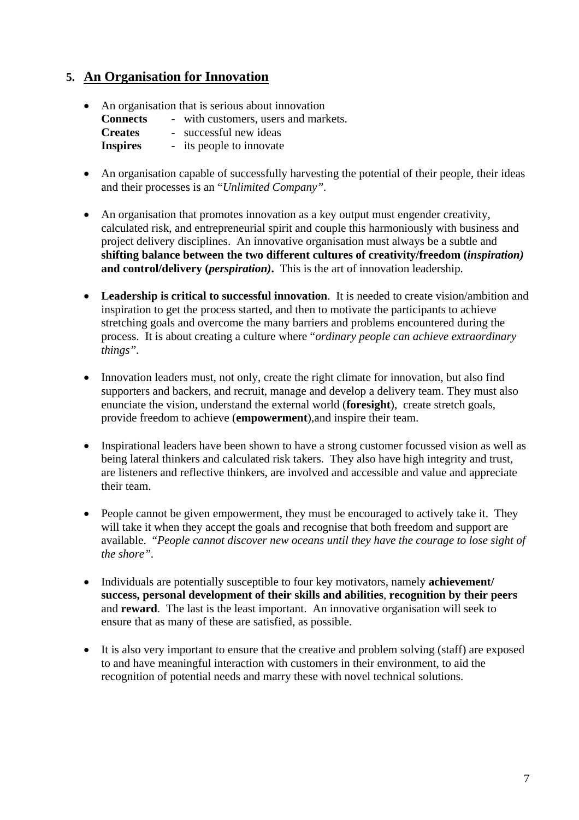#### **5. An Organisation for Innovation**

- An organisation that is serious about innovation
	- **Connects** with customers, users and markets.

**Creates** - successful new ideas

**Inspires** - its people to innovate

- An organisation capable of successfully harvesting the potential of their people, their ideas and their processes is an "*Unlimited Company".*
- An organisation that promotes innovation as a key output must engender creativity, calculated risk, and entrepreneurial spirit and couple this harmoniously with business and project delivery disciplines. An innovative organisation must always be a subtle and **shifting balance between the two different cultures of creativity/freedom (***inspiration)* **and control/delivery (***perspiration)***.** This is the art of innovation leadership.
- **Leadership is critical to successful innovation**. It is needed to create vision/ambition and inspiration to get the process started, and then to motivate the participants to achieve stretching goals and overcome the many barriers and problems encountered during the process. It is about creating a culture where "*ordinary people can achieve extraordinary things".*
- Innovation leaders must, not only, create the right climate for innovation, but also find supporters and backers, and recruit, manage and develop a delivery team. They must also enunciate the vision, understand the external world (**foresight**), create stretch goals, provide freedom to achieve (**empowerment**),and inspire their team.
- Inspirational leaders have been shown to have a strong customer focussed vision as well as being lateral thinkers and calculated risk takers. They also have high integrity and trust, are listeners and reflective thinkers, are involved and accessible and value and appreciate their team.
- People cannot be given empowerment, they must be encouraged to actively take it. They will take it when they accept the goals and recognise that both freedom and support are available. "*People cannot discover new oceans until they have the courage to lose sight of the shore".*
- Individuals are potentially susceptible to four key motivators, namely **achievement/ success, personal development of their skills and abilities**, **recognition by their peers**  and **reward**. The last is the least important. An innovative organisation will seek to ensure that as many of these are satisfied, as possible.
- It is also very important to ensure that the creative and problem solving (staff) are exposed to and have meaningful interaction with customers in their environment, to aid the recognition of potential needs and marry these with novel technical solutions.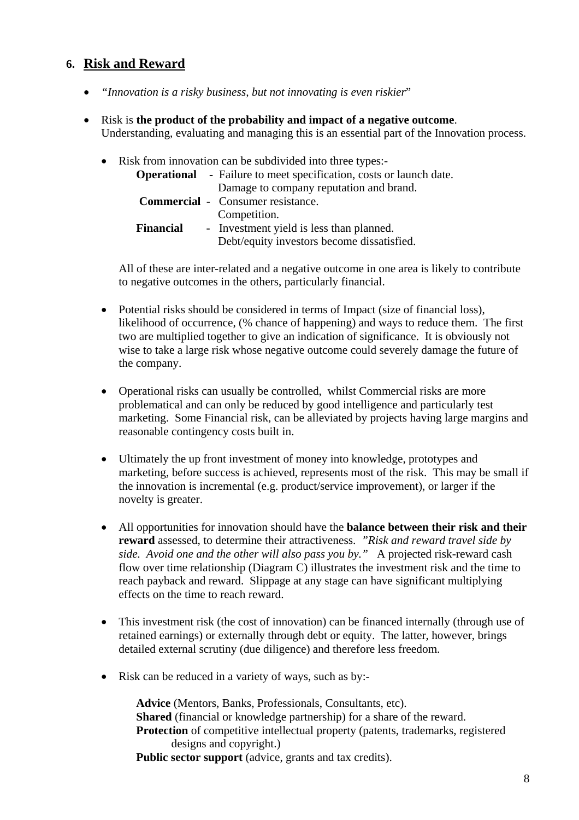#### **6. Risk and Reward**

- *"Innovation is a risky business, but not innovating is even riskier*"
- Risk is **the product of the probability and impact of a negative outcome**. Understanding, evaluating and managing this is an essential part of the Innovation process.
	- Risk from innovation can be subdivided into three types:-**Operational** - Failure to meet specification, costs or launch date. Damage to company reputation and brand. **Commercial** - Consumer resistance. Competition. **Financial** - Investment yield is less than planned. Debt/equity investors become dissatisfied.

All of these are inter-related and a negative outcome in one area is likely to contribute to negative outcomes in the others, particularly financial.

- Potential risks should be considered in terms of Impact (size of financial loss), likelihood of occurrence, (% chance of happening) and ways to reduce them. The first two are multiplied together to give an indication of significance. It is obviously not wise to take a large risk whose negative outcome could severely damage the future of the company.
- Operational risks can usually be controlled, whilst Commercial risks are more problematical and can only be reduced by good intelligence and particularly test marketing. Some Financial risk, can be alleviated by projects having large margins and reasonable contingency costs built in.
- Ultimately the up front investment of money into knowledge, prototypes and marketing, before success is achieved, represents most of the risk. This may be small if the innovation is incremental (e.g. product/service improvement), or larger if the novelty is greater.
- All opportunities for innovation should have the **balance between their risk and their reward** assessed, to determine their attractiveness. *"Risk and reward travel side by side. Avoid one and the other will also pass you by."* A projected risk-reward cash flow over time relationship (Diagram C) illustrates the investment risk and the time to reach payback and reward. Slippage at any stage can have significant multiplying effects on the time to reach reward.
- This investment risk (the cost of innovation) can be financed internally (through use of retained earnings) or externally through debt or equity. The latter, however, brings detailed external scrutiny (due diligence) and therefore less freedom.
- Risk can be reduced in a variety of ways, such as by:-

 **Advice** (Mentors, Banks, Professionals, Consultants, etc). **Shared** (financial or knowledge partnership) for a share of the reward. **Protection** of competitive intellectual property (patents, trademarks, registered designs and copyright.) **Public sector support** (advice, grants and tax credits).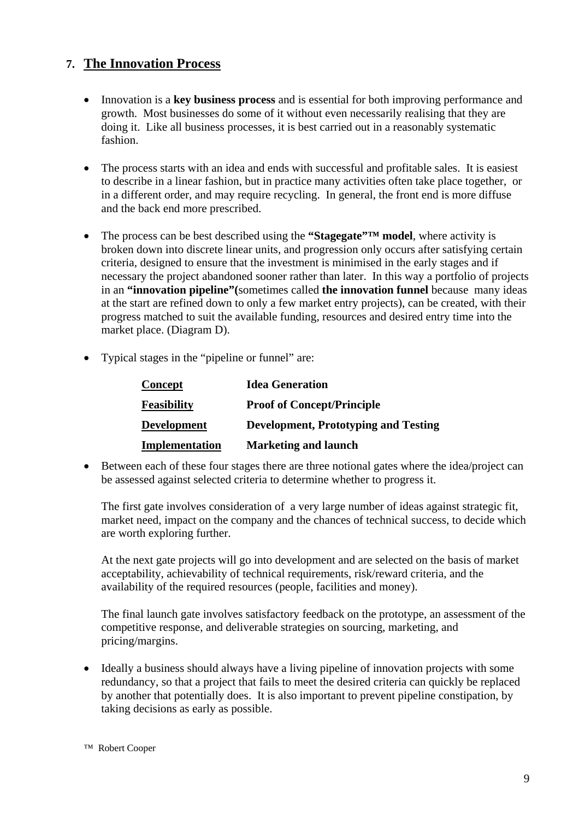### **7. The Innovation Process**

- Innovation is a **key business process** and is essential for both improving performance and growth. Most businesses do some of it without even necessarily realising that they are doing it. Like all business processes, it is best carried out in a reasonably systematic fashion.
- The process starts with an idea and ends with successful and profitable sales. It is easiest to describe in a linear fashion, but in practice many activities often take place together, or in a different order, and may require recycling. In general, the front end is more diffuse and the back end more prescribed.
- The process can be best described using the "Stagegate"<sup>TM</sup> model, where activity is broken down into discrete linear units, and progression only occurs after satisfying certain criteria, designed to ensure that the investment is minimised in the early stages and if necessary the project abandoned sooner rather than later. In this way a portfolio of projects in an **"innovation pipeline"(**sometimes called **the innovation funnel** because many ideas at the start are refined down to only a few market entry projects), can be created, with their progress matched to suit the available funding, resources and desired entry time into the market place. (Diagram D).
- Typical stages in the "pipeline or funnel" are:

| Concept            | <b>Idea Generation</b>                      |
|--------------------|---------------------------------------------|
| <b>Feasibility</b> | <b>Proof of Concept/Principle</b>           |
| <b>Development</b> | <b>Development, Prototyping and Testing</b> |
| Implementation     | <b>Marketing and launch</b>                 |

• Between each of these four stages there are three notional gates where the idea/project can be assessed against selected criteria to determine whether to progress it.

The first gate involves consideration of a very large number of ideas against strategic fit, market need, impact on the company and the chances of technical success, to decide which are worth exploring further.

At the next gate projects will go into development and are selected on the basis of market acceptability, achievability of technical requirements, risk/reward criteria, and the availability of the required resources (people, facilities and money).

The final launch gate involves satisfactory feedback on the prototype, an assessment of the competitive response, and deliverable strategies on sourcing, marketing, and pricing/margins.

• Ideally a business should always have a living pipeline of innovation projects with some redundancy, so that a project that fails to meet the desired criteria can quickly be replaced by another that potentially does. It is also important to prevent pipeline constipation, by taking decisions as early as possible.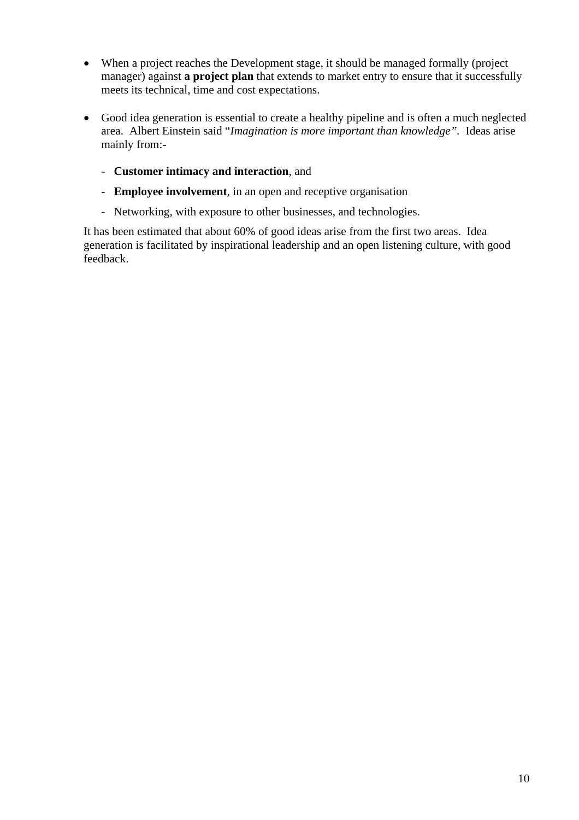- When a project reaches the Development stage, it should be managed formally (project manager) against **a project plan** that extends to market entry to ensure that it successfully meets its technical, time and cost expectations.
- Good idea generation is essential to create a healthy pipeline and is often a much neglected area. Albert Einstein said "*Imagination is more important than knowledge".* Ideas arise mainly from:-
	- **Customer intimacy and interaction**, and
	- **Employee involvement**, in an open and receptive organisation
	- Networking, with exposure to other businesses, and technologies.

It has been estimated that about 60% of good ideas arise from the first two areas. Idea generation is facilitated by inspirational leadership and an open listening culture, with good feedback.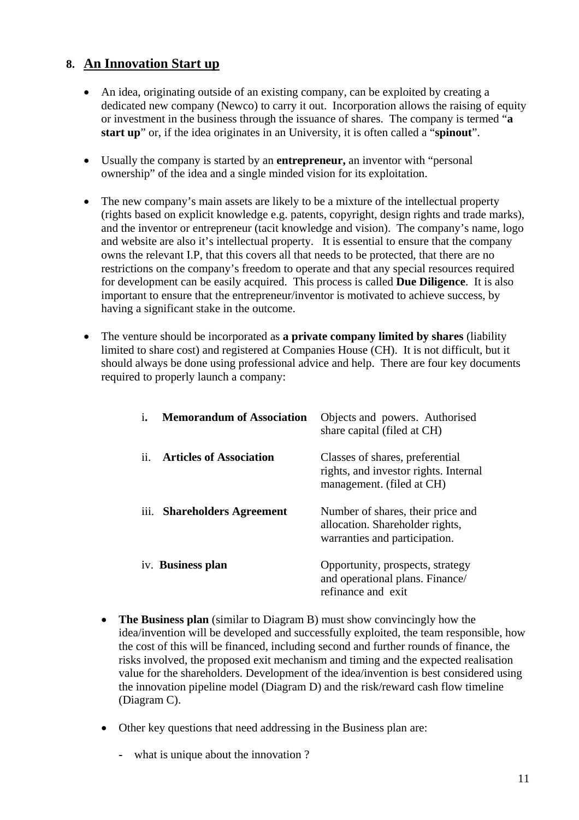### **8. An Innovation Start up**

- An idea, originating outside of an existing company, can be exploited by creating a dedicated new company (Newco) to carry it out. Incorporation allows the raising of equity or investment in the business through the issuance of shares. The company is termed "**a start up**" or, if the idea originates in an University, it is often called a "**spinout**".
- Usually the company is started by an **entrepreneur,** an inventor with "personal ownership" of the idea and a single minded vision for its exploitation.
- The new company's main assets are likely to be a mixture of the intellectual property (rights based on explicit knowledge e.g. patents, copyright, design rights and trade marks), and the inventor or entrepreneur (tacit knowledge and vision). The company's name, logo and website are also it's intellectual property. It is essential to ensure that the company owns the relevant I.P, that this covers all that needs to be protected, that there are no restrictions on the company's freedom to operate and that any special resources required for development can be easily acquired. This process is called **Due Diligence**. It is also important to ensure that the entrepreneur/inventor is motivated to achieve success, by having a significant stake in the outcome.
- The venture should be incorporated as **a private company limited by shares** (liability limited to share cost) and registered at Companies House (CH). It is not difficult, but it should always be done using professional advice and help. There are four key documents required to properly launch a company:

| 1.            | <b>Memorandum of Association</b> | Objects and powers. Authorised<br>share capital (filed at CH)                                         |
|---------------|----------------------------------|-------------------------------------------------------------------------------------------------------|
| $\mathbf{ii}$ | <b>Articles of Association</b>   | Classes of shares, preferential<br>rights, and investor rights. Internal<br>management. (filed at CH) |
|               | iii. Shareholders Agreement      | Number of shares, their price and<br>allocation. Shareholder rights,<br>warranties and participation. |
|               | iv. Business plan                | Opportunity, prospects, strategy<br>and operational plans. Finance/<br>refinance and exit             |

- **The Business plan** (similar to Diagram B) must show convincingly how the idea/invention will be developed and successfully exploited, the team responsible, how the cost of this will be financed, including second and further rounds of finance, the risks involved, the proposed exit mechanism and timing and the expected realisation value for the shareholders. Development of the idea/invention is best considered using the innovation pipeline model (Diagram D) and the risk/reward cash flow timeline (Diagram C).
- Other key questions that need addressing in the Business plan are:
	- what is unique about the innovation ?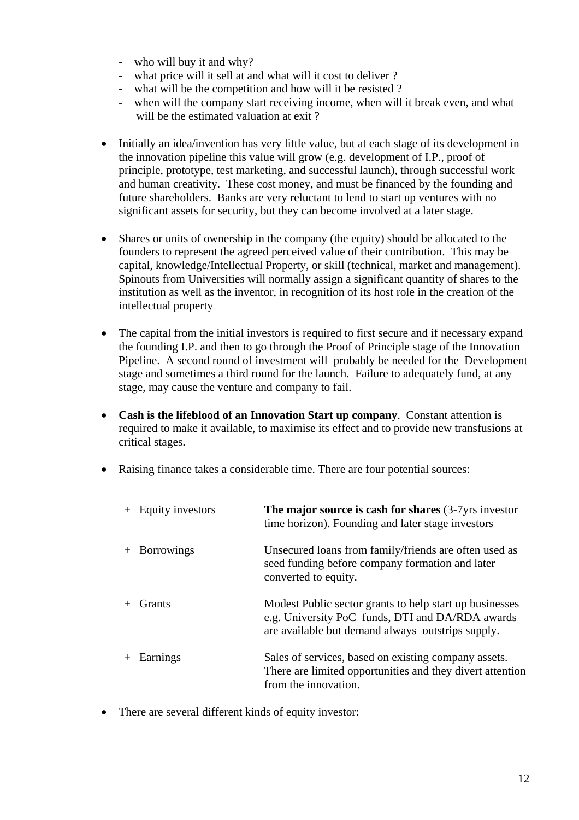- who will buy it and why?
- what price will it sell at and what will it cost to deliver ?
- what will be the competition and how will it be resisted ?
- when will the company start receiving income, when will it break even, and what will be the estimated valuation at exit?
- Initially an idea/invention has very little value, but at each stage of its development in the innovation pipeline this value will grow (e.g. development of I.P., proof of principle, prototype, test marketing, and successful launch), through successful work and human creativity. These cost money, and must be financed by the founding and future shareholders. Banks are very reluctant to lend to start up ventures with no significant assets for security, but they can become involved at a later stage.
- Shares or units of ownership in the company (the equity) should be allocated to the founders to represent the agreed perceived value of their contribution. This may be capital, knowledge/Intellectual Property, or skill (technical, market and management). Spinouts from Universities will normally assign a significant quantity of shares to the institution as well as the inventor, in recognition of its host role in the creation of the intellectual property
- The capital from the initial investors is required to first secure and if necessary expand the founding I.P. and then to go through the Proof of Principle stage of the Innovation Pipeline. A second round of investment will probably be needed for the Development stage and sometimes a third round for the launch. Failure to adequately fund, at any stage, may cause the venture and company to fail.
- **Cash is the lifeblood of an Innovation Start up company**. Constant attention is required to make it available, to maximise its effect and to provide new transfusions at critical stages.
- Raising finance takes a considerable time. There are four potential sources:

| Equity investors | The major source is cash for shares $(3-7)$ yrs investor<br>time horizon). Founding and later stage investors                                                    |
|------------------|------------------------------------------------------------------------------------------------------------------------------------------------------------------|
| + Borrowings     | Unsecured loans from family/friends are often used as<br>seed funding before company formation and later<br>converted to equity.                                 |
| Grants           | Modest Public sector grants to help start up businesses<br>e.g. University PoC funds, DTI and DA/RDA awards<br>are available but demand always outstrips supply. |
| Earnings         | Sales of services, based on existing company assets.<br>There are limited opportunities and they divert attention<br>from the innovation.                        |

• There are several different kinds of equity investor: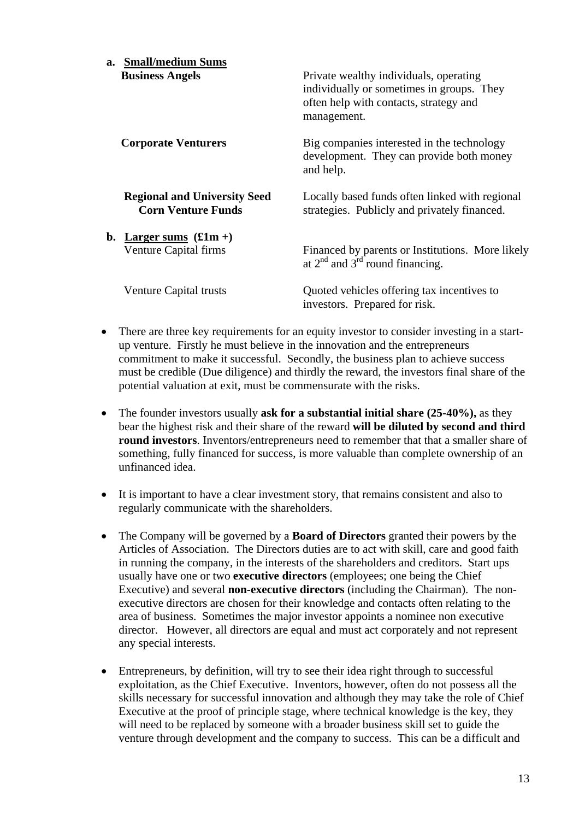| a. Small/medium Sums                                             |                                                                                                                                              |
|------------------------------------------------------------------|----------------------------------------------------------------------------------------------------------------------------------------------|
| <b>Business Angels</b>                                           | Private wealthy individuals, operating<br>individually or sometimes in groups. They<br>often help with contacts, strategy and<br>management. |
| <b>Corporate Venturers</b>                                       | Big companies interested in the technology<br>development. They can provide both money<br>and help.                                          |
| <b>Regional and University Seed</b><br><b>Corn Venture Funds</b> | Locally based funds often linked with regional<br>strategies. Publicly and privately financed.                                               |
| b. Larger sums $(f1m +)$                                         |                                                                                                                                              |
| Venture Capital firms                                            | Financed by parents or Institutions. More likely<br>at $2^{nd}$ and $3^{rd}$ round financing.                                                |
| Venture Capital trusts                                           | Quoted vehicles offering tax incentives to<br>investors. Prepared for risk.                                                                  |

- There are three key requirements for an equity investor to consider investing in a startup venture. Firstly he must believe in the innovation and the entrepreneurs commitment to make it successful. Secondly, the business plan to achieve success must be credible (Due diligence) and thirdly the reward, the investors final share of the potential valuation at exit, must be commensurate with the risks.
- The founder investors usually **ask for a substantial initial share (25-40%),** as they bear the highest risk and their share of the reward **will be diluted by second and third round investors**. Inventors/entrepreneurs need to remember that that a smaller share of something, fully financed for success, is more valuable than complete ownership of an unfinanced idea.
- It is important to have a clear investment story, that remains consistent and also to regularly communicate with the shareholders.
- The Company will be governed by a **Board of Directors** granted their powers by the Articles of Association. The Directors duties are to act with skill, care and good faith in running the company, in the interests of the shareholders and creditors. Start ups usually have one or two **executive directors** (employees; one being the Chief Executive) and several **non-executive directors** (including the Chairman). The nonexecutive directors are chosen for their knowledge and contacts often relating to the area of business. Sometimes the major investor appoints a nominee non executive director. However, all directors are equal and must act corporately and not represent any special interests.
- Entrepreneurs, by definition, will try to see their idea right through to successful exploitation, as the Chief Executive. Inventors, however, often do not possess all the skills necessary for successful innovation and although they may take the role of Chief Executive at the proof of principle stage, where technical knowledge is the key, they will need to be replaced by someone with a broader business skill set to guide the venture through development and the company to success. This can be a difficult and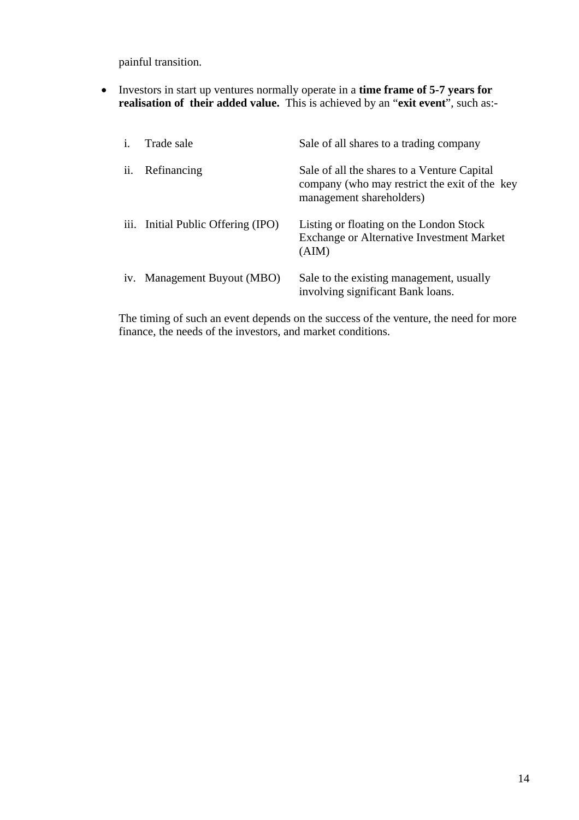painful transition.

• Investors in start up ventures normally operate in a **time frame of 5-7 years for realisation of their added value.** This is achieved by an "**exit event**", such as:-

| $\mathbf{i}$ . | Trade sale                         | Sale of all shares to a trading company                                                                                  |
|----------------|------------------------------------|--------------------------------------------------------------------------------------------------------------------------|
| ii.            | Refinancing                        | Sale of all the shares to a Venture Capital<br>company (who may restrict the exit of the key<br>management shareholders) |
|                | iii. Initial Public Offering (IPO) | Listing or floating on the London Stock<br><b>Exchange or Alternative Investment Market</b><br>(AIM)                     |
|                | iv. Management Buyout (MBO)        | Sale to the existing management, usually<br>involving significant Bank loans.                                            |

The timing of such an event depends on the success of the venture, the need for more finance, the needs of the investors, and market conditions.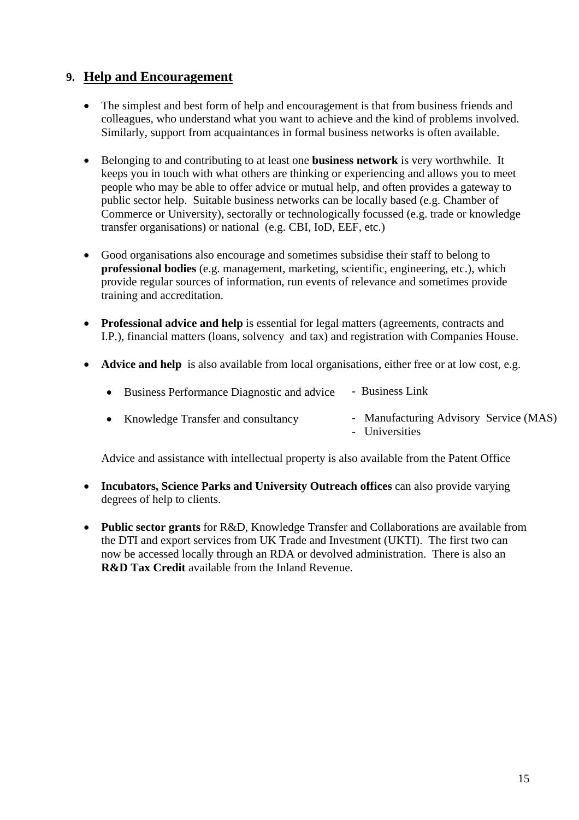#### **9. Help and Encouragement**

- The simplest and best form of help and encouragement is that from business friends and colleagues, who understand what you want to achieve and the kind of problems involved. Similarly, support from acquaintances in formal business networks is often available.
- Belonging to and contributing to at least one **business network** is very worthwhile. It keeps you in touch with what others are thinking or experiencing and allows you to meet people who may be able to offer advice or mutual help, and often provides a gateway to public sector help. Suitable business networks can be locally based (e.g. Chamber of Commerce or University), sectorally or technologically focussed (e.g. trade or knowledge transfer organisations) or national (e.g. CBI, IoD, EEF, etc.)
- Good organisations also encourage and sometimes subsidise their staff to belong to **professional bodies** (e.g. management, marketing, scientific, engineering, etc.), which provide regular sources of information, run events of relevance and sometimes provide training and accreditation.
- **Professional advice and help** is essential for legal matters (agreements, contracts and I.P.), financial matters (loans, solvency and tax) and registration with Companies House.
- **Advice and help** is also available from local organisations, either free or at low cost, e.g.

| Business Performance Diagnostic and advice | - Business Link                                          |
|--------------------------------------------|----------------------------------------------------------|
| • Knowledge Transfer and consultancy       | - Manufacturing Advisory Service (MAS)<br>- Universities |

Advice and assistance with intellectual property is also available from the Patent Office

- **Incubators, Science Parks and University Outreach offices** can also provide varying degrees of help to clients.
- **Public sector grants** for R&D, Knowledge Transfer and Collaborations are available from the DTI and export services from UK Trade and Investment (UKTI). The first two can now be accessed locally through an RDA or devolved administration. There is also an **R&D Tax Credit** available from the Inland Revenue.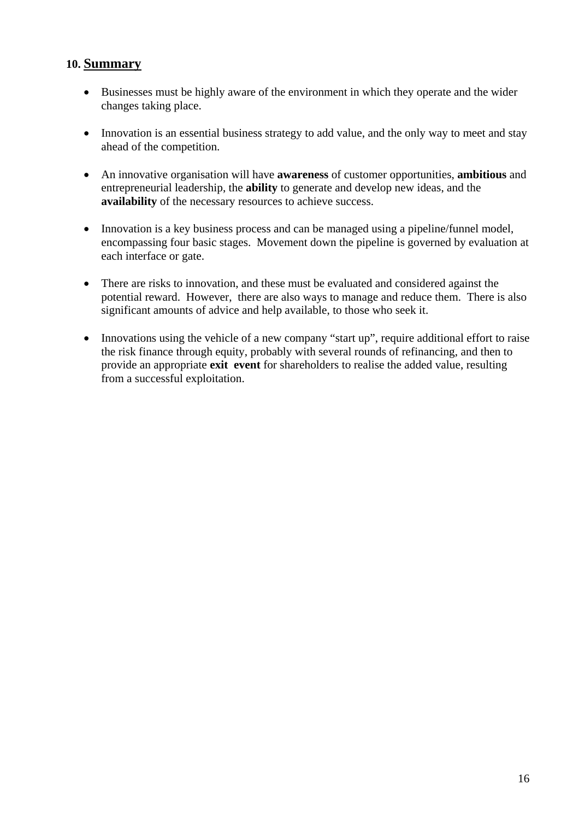#### **10. Summary**

- Businesses must be highly aware of the environment in which they operate and the wider changes taking place.
- Innovation is an essential business strategy to add value, and the only way to meet and stay ahead of the competition.
- An innovative organisation will have **awareness** of customer opportunities, **ambitious** and entrepreneurial leadership, the **ability** to generate and develop new ideas, and the **availability** of the necessary resources to achieve success.
- Innovation is a key business process and can be managed using a pipeline/funnel model, encompassing four basic stages. Movement down the pipeline is governed by evaluation at each interface or gate.
- There are risks to innovation, and these must be evaluated and considered against the potential reward. However, there are also ways to manage and reduce them. There is also significant amounts of advice and help available, to those who seek it.
- Innovations using the vehicle of a new company "start up", require additional effort to raise the risk finance through equity, probably with several rounds of refinancing, and then to provide an appropriate **exit event** for shareholders to realise the added value, resulting from a successful exploitation.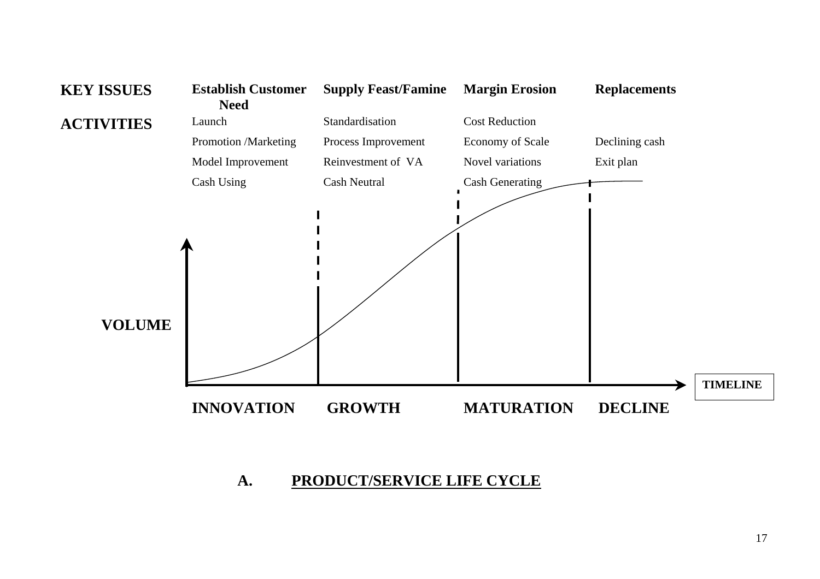

#### **A. PRODUCT/SERVICE LIFE CYCLE**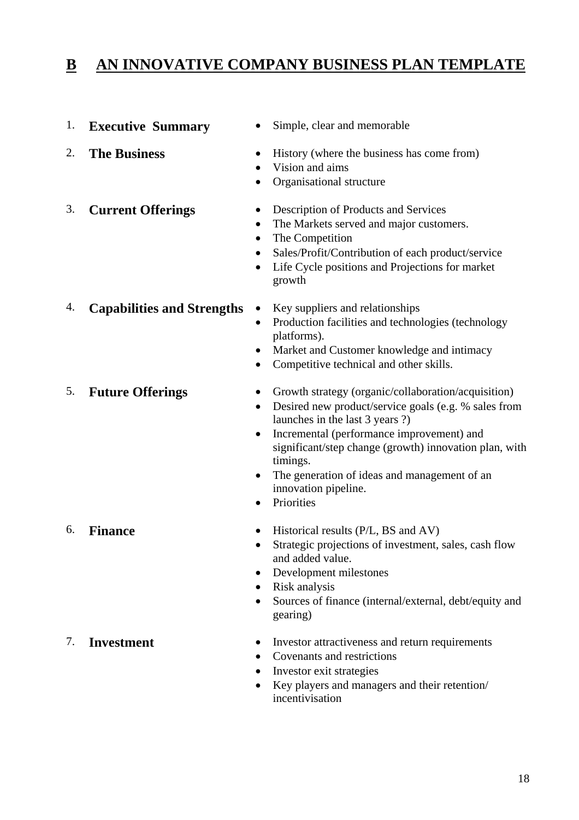# **B AN INNOVATIVE COMPANY BUSINESS PLAN TEMPLATE**

- 1. **Executive Summary**  Simple, clear and memorable
- 

- 
- 2. **The Business** History (where the business has come from)
	- Vision and aims
	- Organisational structure
	-
- 3. **Current Offerings**  Description of Products and Services
	- The Markets served and major customers.
	- The Competition
	- Sales/Profit/Contribution of each product/service
	- Life Cycle positions and Projections for market growth
- 4. **Capabilities and Strengths** Key suppliers and relationships
- - Production facilities and technologies (technology platforms).
	- Market and Customer knowledge and intimacy
	- Competitive technical and other skills.
- 
- 5. **Future Offerings**  Growth strategy (organic/collaboration/acquisition)
	- Desired new product/service goals (e.g. % sales from launches in the last 3 years ?)
	- Incremental (performance improvement) and significant/step change (growth) innovation plan, with timings.
	- The generation of ideas and management of an innovation pipeline.
	- Priorities
- 6. **Finance**  Historical results (P/L, BS and AV)
	- Strategic projections of investment, sales, cash flow and added value.
	- Development milestones
	- Risk analysis
	- Sources of finance (internal/external, debt/equity and gearing)
- 7. **Investment**  Investor attractiveness and return requirements
	- Covenants and restrictions
	- Investor exit strategies
	- Key players and managers and their retention/ incentivisation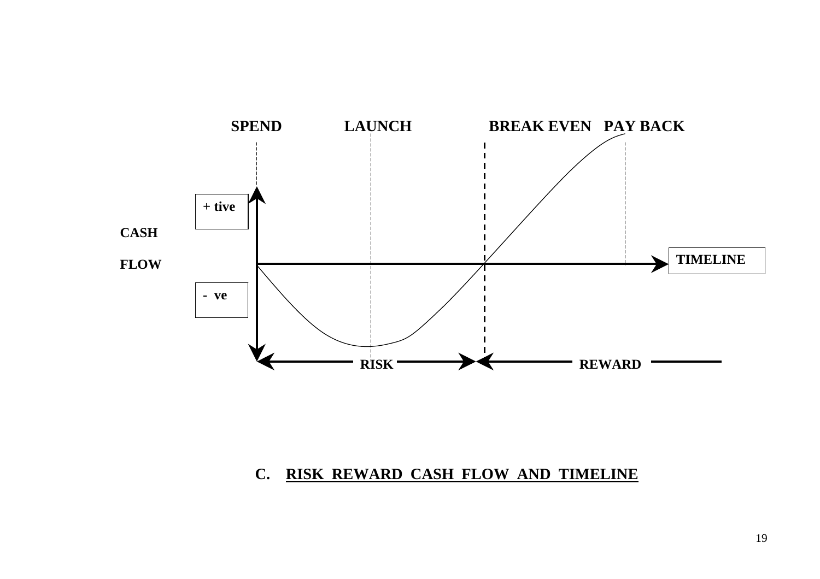

#### **C. RISK REWARD CASH FLOW AND TIMELINE**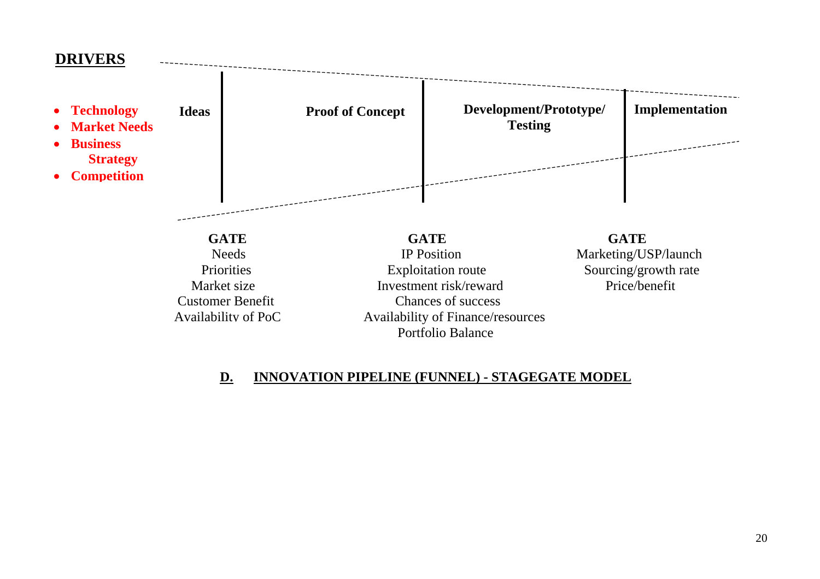### **DRIVERS**



#### **D.INNOVATION PIPELINE (FUNNEL) - STAGEGATE MODEL**